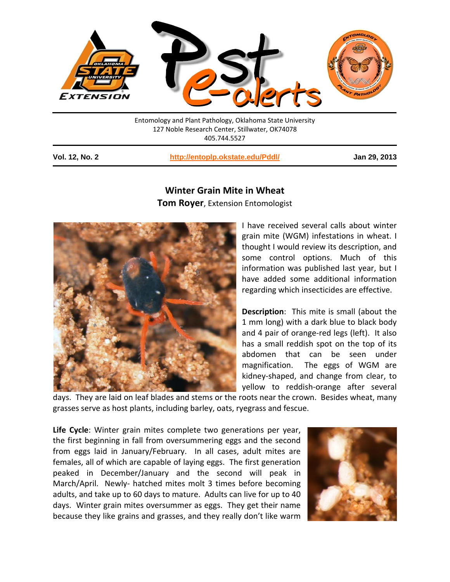

Entomology and Plant Pathology, Oklahoma State University 127 Noble Research Center, Stillwater, OK74078 405.744.5527

**Vol. 12, No. 2 <http://entoplp.okstate.edu/Pddl/> Jan 29, 2013**

## **Winter Grain Mite in Wheat**

**Tom Royer**, Extension Entomologist



I have received several calls about winter grain mite (WGM) infestations in wheat. I thought I would review its description, and some control options. Much of this information was published last year, but I have added some additional information regarding which insecticides are effective.

**Description**: This mite is small (about the 1 mm long) with a dark blue to black body and 4 pair of orange-red legs (left). It also has a small reddish spot on the top of its abdomen that can be seen under magnification. The eggs of WGM are kidney-shaped, and change from clear, to yellow to reddish-orange after several

days. They are laid on leaf blades and stems or the roots near the crown. Besides wheat, many grasses serve as host plants, including barley, oats, ryegrass and fescue.

**Life Cycle**: Winter grain mites complete two generations per year, the first beginning in fall from oversummering eggs and the second from eggs laid in January/February. In all cases, adult mites are females, all of which are capable of laying eggs. The first generation peaked in December/January and the second will peak in March/April. Newly- hatched mites molt 3 times before becoming adults, and take up to 60 days to mature. Adults can live for up to 40 days. Winter grain mites oversummer as eggs. They get their name because they like grains and grasses, and they really don't like warm

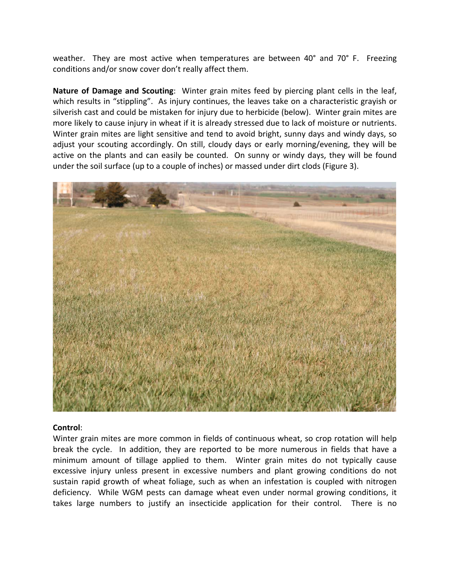weather. They are most active when temperatures are between 40° and 70° F. Freezing conditions and/or snow cover don't really affect them.

**Nature of Damage and Scouting**: Winter grain mites feed by piercing plant cells in the leaf, which results in "stippling". As injury continues, the leaves take on a characteristic grayish or silverish cast and could be mistaken for injury due to herbicide (below). Winter grain mites are more likely to cause injury in wheat if it is already stressed due to lack of moisture or nutrients. Winter grain mites are light sensitive and tend to avoid bright, sunny days and windy days, so adjust your scouting accordingly. On still, cloudy days or early morning/evening, they will be active on the plants and can easily be counted. On sunny or windy days, they will be found under the soil surface (up to a couple of inches) or massed under dirt clods (Figure 3).



## **Control**:

Winter grain mites are more common in fields of continuous wheat, so crop rotation will help break the cycle. In addition, they are reported to be more numerous in fields that have a minimum amount of tillage applied to them. Winter grain mites do not typically cause excessive injury unless present in excessive numbers and plant growing conditions do not sustain rapid growth of wheat foliage, such as when an infestation is coupled with nitrogen deficiency. While WGM pests can damage wheat even under normal growing conditions, it takes large numbers to justify an insecticide application for their control. There is no